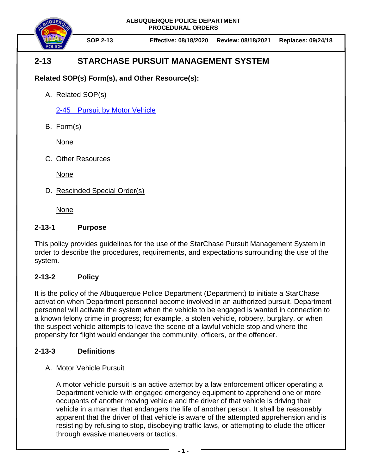**ALBUQUERQUE POLICE DEPARTMENT PROCEDURAL ORDERS**



**SOP 2-13 Effective: 08/18/2020 Review: 08/18/2021 Replaces: 09/24/18**

## **2-13 STARCHASE PURSUIT MANAGEMENT SYSTEM**

**Related SOP(s) Form(s), and Other Resource(s):**

A. Related SOP(s)

2-45 [Pursuit by Motor Vehicle](https://powerdms.com/docs/139?q=2-45)

B. Form(s)

None

C. Other Resources

None

D. Rescinded Special Order(s)

None

## **2-13-1 Purpose**

This policy provides guidelines for the use of the StarChase Pursuit Management System in order to describe the procedures, requirements, and expectations surrounding the use of the system.

## **2-13-2 Policy**

It is the policy of the Albuquerque Police Department (Department) to initiate a StarChase activation when Department personnel become involved in an authorized pursuit. Department personnel will activate the system when the vehicle to be engaged is wanted in connection to a known felony crime in progress; for example, a stolen vehicle, robbery, burglary, or when the suspect vehicle attempts to leave the scene of a lawful vehicle stop and where the propensity for flight would endanger the community, officers, or the offender.

## **2-13-3 Definitions**

A. Motor Vehicle Pursuit

A motor vehicle pursuit is an active attempt by a law enforcement officer operating a Department vehicle with engaged emergency equipment to apprehend one or more occupants of another moving vehicle and the driver of that vehicle is driving their vehicle in a manner that endangers the life of another person. It shall be reasonably apparent that the driver of that vehicle is aware of the attempted apprehension and is resisting by refusing to stop, disobeying traffic laws, or attempting to elude the officer through evasive maneuvers or tactics.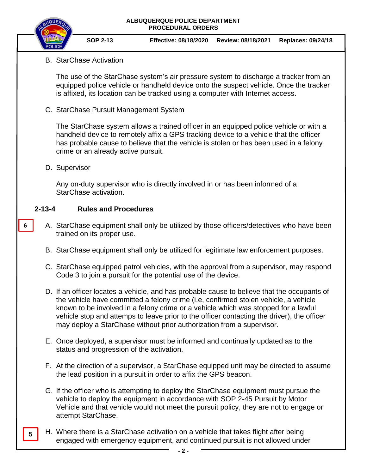#### **ALBUQUERQUE POLICE DEPARTMENT PROCEDURAL ORDERS**



**SOP 2-13 Effective: 08/18/2020 Review: 08/18/2021 Replaces: 09/24/18**

## B. StarChase Activation

The use of the StarChase system's air pressure system to discharge a tracker from an equipped police vehicle or handheld device onto the suspect vehicle. Once the tracker is affixed, its location can be tracked using a computer with Internet access.

C. StarChase Pursuit Management System

The StarChase system allows a trained officer in an equipped police vehicle or with a handheld device to remotely affix a GPS tracking device to a vehicle that the officer has probable cause to believe that the vehicle is stolen or has been used in a felony crime or an already active pursuit.

D. Supervisor

**6**

**5**

Any on-duty supervisor who is directly involved in or has been informed of a StarChase activation.

## **2-13-4 Rules and Procedures**

- A. StarChase equipment shall only be utilized by those officers/detectives who have been trained on its proper use.
	- B. StarChase equipment shall only be utilized for legitimate law enforcement purposes.
	- C. StarChase equipped patrol vehicles, with the approval from a supervisor, may respond Code 3 to join a pursuit for the potential use of the device.
	- D. If an officer locates a vehicle, and has probable cause to believe that the occupants of the vehicle have committed a felony crime (i.e, confirmed stolen vehicle, a vehicle known to be involved in a felony crime or a vehicle which was stopped for a lawful vehicle stop and attemps to leave prior to the officer contacting the driver), the officer may deploy a StarChase without prior authorization from a supervisor.
	- E. Once deployed, a supervisor must be informed and continually updated as to the status and progression of the activation.
	- F. At the direction of a supervisor, a StarChase equipped unit may be directed to assume the lead position in a pursuit in order to affix the GPS beacon.
	- G. If the officer who is attempting to deploy the StarChase equipment must pursue the vehicle to deploy the equipment in accordance with SOP 2-45 Pursuit by Motor Vehicle and that vehicle would not meet the pursuit policy, they are not to engage or attempt StarChase.
- H. Where there is a StarChase activation on a vehicle that takes flight after being engaged with emergency equipment, and continued pursuit is not allowed under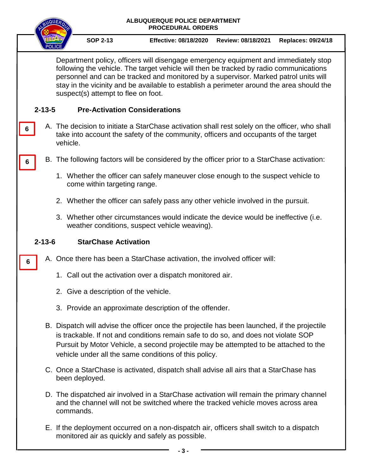